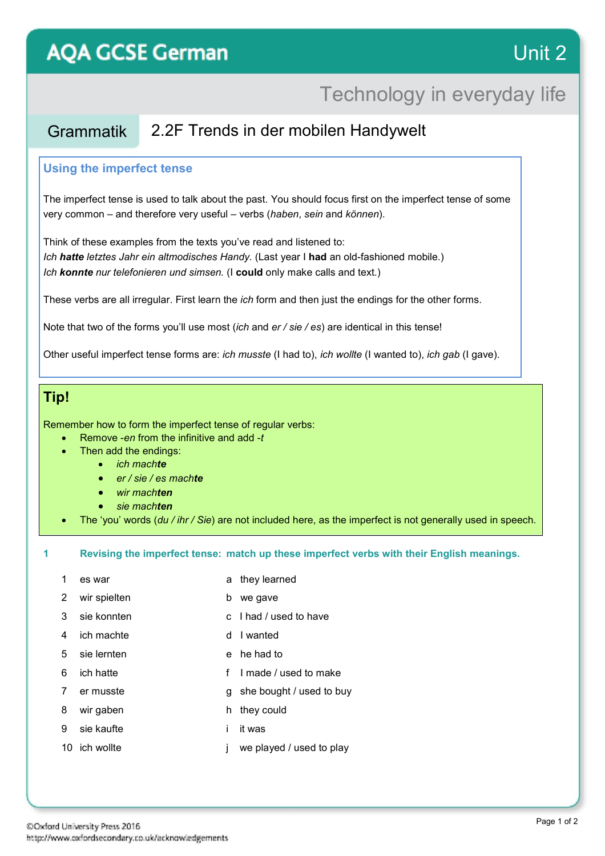# **AQA GCSE German**

## Technology in everyday life

### Grammatik 2.2F Trends in der mobilen Handywelt

#### **Using the imperfect tense**

The imperfect tense is used to talk about the past. You should focus first on the imperfect tense of some very common – and therefore very useful – verbs (*haben*, *sein* and *können*).

Think of these examples from the texts you've read and listened to: *Ich hatte letztes Jahr ein altmodisches Handy.* (Last year I **had** an old-fashioned mobile.) *Ich konnte nur telefonieren und simsen.* (I **could** only make calls and text.)

These verbs are all irregular. First learn the *ich* form and then just the endings for the other forms.

Note that two of the forms you'll use most (*ich* and *er / sie / es*) are identical in this tense!

Other useful imperfect tense forms are: *ich musste* (I had to), *ich wollte* (I wanted to), *ich gab* (I gave).

### **Tip!**

Remember how to form the imperfect tense of regular verbs:

- Remove -*en* from the infinitive and add -*t*
	- Then add the endings:
		- *ich machte*
		- *er / sie / es machte*
		- *wir machten*
		- *sie machten*
	- The 'you' words (*du / ihr / Sie*) are not included here, as the imperfect is not generally used in speech.

**1 Revising the imperfect tense: match up these imperfect verbs with their English meanings.**

- 1 es war a they learned
	-
- 2 wir spielten b we gave
- 3 sie konnten c I had / used to have
- 4 ich machte d I wanted
- 5 sie lernten e he had to
- 6 ich hatte f I made / used to make
- 7 er musste g she bought / used to buy
- 8 wir gaben h they could
- 9 sie kaufte i it was
- 10 ich wollte **j** we played / used to play